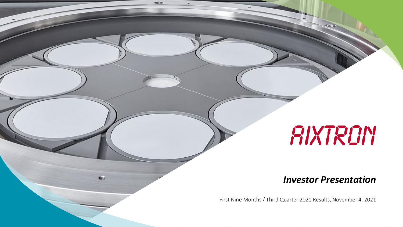# FIXTROM

#### *Investor Presentation*

First Nine Months / Third Quarter 2021 Results, November 4, 2021

 $48.5$ 

de.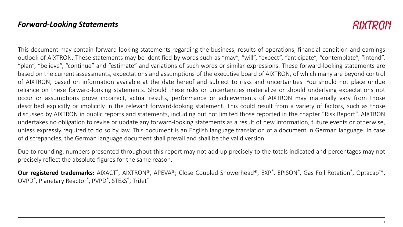*RIXTRAIN* 

This document may contain forward-looking statements regarding the business, results of operations, financial condition and earnings outlook of AIXTRON. These statements may be identified by words such as "may", "will", "expect", "anticipate", "contemplate", "intend", "plan", "believe", "continue" and "estimate" and variations of such words or similar expressions. These forward-looking statements are based on the current assessments, expectations and assumptions of the executive board of AIXTRON, of which many are beyond control of AIXTRON, based on information available at the date hereof and subject to risks and uncertainties. You should not place undue reliance on these forward-looking statements. Should these risks or uncertainties materialize or should underlying expectations not occur or assumptions prove incorrect, actual results, performance or achievements of AIXTRON may materially vary from those described explicitly or implicitly in the relevant forward-looking statement. This could result from a variety of factors, such as those discussed by AIXTRON in public reports and statements, including but not limited those reported in the chapter "Risk Report". AIXTRON undertakes no obligation to revise or update any forward-looking statements as a result of new information, future events or otherwise, unless expressly required to do so by law. This document is an English language translation of a document in German language. In case of discrepancies, the German language document shall prevail and shall be the valid version.

Due to rounding, numbers presented throughout this report may not add up precisely to the totals indicated and percentages may not precisely reflect the absolute figures for the same reason.

 $O$ ur registered trademarks: AIXACT®, AIXTRON®, APEVA®; Close Coupled Showerhead®, EXP®, EPISON®, Gas Foil Rotation®, Optacap™, OVPD® , Planetary Reactor® , PVPD® , STExS® , TriJet®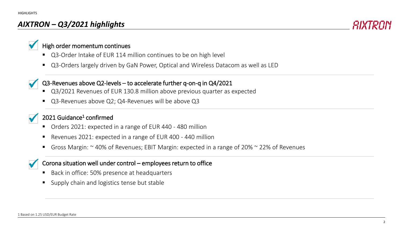#### *AIXTRON – Q3/2021 highlights*



#### High order momentum continues

- Q3-Order Intake of EUR 114 million continues to be on high level
- Q3-Orders largely driven by GaN Power, Optical and Wireless Datacom as well as LED

#### Q3-Revenues above Q2-levels – to accelerate further q-on-q in Q4/2021

- Q3/2021 Revenues of EUR 130.8 million above previous quarter as expected
- Q3-Revenues above Q2; Q4-Revenues will be above Q3

#### 2021 Guidance<sup>1</sup> confirmed

- Orders 2021: expected in a range of EUR 440 480 million
- Revenues 2021: expected in a range of EUR 400 440 million
- Gross Margin:  $\sim$  40% of Revenues; EBIT Margin: expected in a range of 20%  $\sim$  22% of Revenues

#### Corona situation well under control – employees return to office

- Back in office: 50% presence at headquarters
- **Supply chain and logistics tense but stable**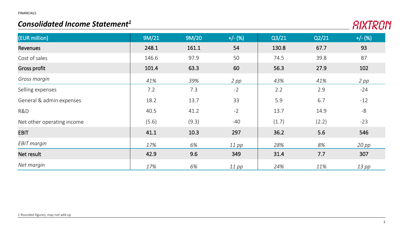#### *Consolidated Income Statement<sup>1</sup>*



| (EUR million)              | 9M/21 | 9M/20 | $+/- (%)$ | Q3/21 | Q2/21 | $+/- (%)$ |
|----------------------------|-------|-------|-----------|-------|-------|-----------|
| Revenues                   | 248.1 | 161.1 | 54        | 130.8 | 67.7  | 93        |
| Cost of sales              | 146.6 | 97.9  | 50        | 74.5  | 39.8  | 87        |
| <b>Gross profit</b>        | 101.4 | 63.3  | 60        | 56.3  | 27.9  | 102       |
| Gross margin               | 41%   | 39%   | $2$ pp    | 43%   | 41%   | $2$ pp    |
| Selling expenses           | 7.2   | 7.3   | $-2$      | 2.2   | 2.9   | $-24$     |
| General & admin expenses   | 18.2  | 13.7  | 33        | 5.9   | 6.7   | $-12$     |
| R&D                        | 40.5  | 41.2  | $-2$      | 13.7  | 14.9  | $-8$      |
| Net other operating income | (5.6) | (9.3) | $-40$     | (1.7) | (2.2) | $-23$     |
| <b>EBIT</b>                | 41.1  | 10.3  | 297       | 36.2  | 5.6   | 546       |
| EBIT margin                | 17%   | 6%    | $11$ pp   | 28%   | 8%    | $20$ pp   |
| Net result                 | 42.9  | 9.6   | 349       | 31.4  | 7.7   | 307       |
| Net margin                 | 17%   | 6%    | $11$ pp   | 24%   | 11%   | $13$ pp   |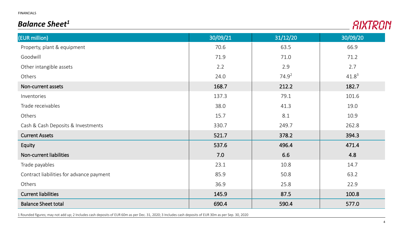FINANCIALS

#### *Balance Sheet<sup>1</sup>*



| (EUR million)                            | 30/09/21 | 31/12/20 | 30/09/20 |
|------------------------------------------|----------|----------|----------|
| Property, plant & equipment              | 70.6     | 63.5     | 66.9     |
| Goodwill                                 | 71.9     | 71.0     | 71.2     |
| Other intangible assets                  | 2.2      | 2.9      | 2.7      |
| Others                                   | 24.0     | $74.9^2$ | $41.8^3$ |
| Non-current assets                       | 168.7    | 212.2    | 182.7    |
| Inventories                              | 137.3    | 79.1     | 101.6    |
| Trade receivables                        | 38.0     | 41.3     | 19.0     |
| Others                                   | 15.7     | 8.1      | 10.9     |
| Cash & Cash Deposits & Investments       | 330.7    | 249.7    | 262.8    |
| <b>Current Assets</b>                    | 521.7    | 378.2    | 394.3    |
| Equity                                   | 537.6    | 496.4    | 471.4    |
| Non-current liabilities                  | 7.0      | 6.6      | 4.8      |
| Trade payables                           | 23.1     | 10.8     | 14.7     |
| Contract liabilities for advance payment | 85.9     | 50.8     | 63.2     |
| Others                                   | 36.9     | 25.8     | 22.9     |
| <b>Current liabilities</b>               | 145.9    | 87.5     | 100.8    |
| <b>Balance Sheet total</b>               | 690.4    | 590.4    | 577.0    |

1 Rounded figures; may not add up; 2 Includes cash deposits of EUR 60m as per Dec. 31, 2020; 3 Includes cash deposits of EUR 30m as per Sep. 30, 2020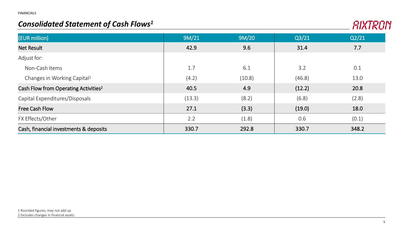#### *Consolidated Statement of Cash Flows<sup>1</sup>*



| (EUR million)                                    | 9M/21  | 9M/20  | Q3/21  | Q2/21 |
|--------------------------------------------------|--------|--------|--------|-------|
| <b>Net Result</b>                                | 42.9   | 9.6    | 31.4   | 7.7   |
| Adjust for:                                      |        |        |        |       |
| Non-Cash Items                                   | 1.7    | 6.1    | 3.2    | 0.1   |
| Changes in Working Capital <sup>2</sup>          | (4.2)  | (10.8) | (46.8) | 13.0  |
| Cash Flow from Operating Activities <sup>2</sup> | 40.5   | 4.9    | (12.2) | 20.8  |
| Capital Expenditures/Disposals                   | (13.3) | (8.2)  | (6.8)  | (2.8) |
| <b>Free Cash Flow</b>                            | 27.1   | (3.3)  | (19.0) | 18.0  |
| FX Effects/Other                                 | 2.2    | (1.8)  | 0.6    | (0.1) |
| Cash, financial investments & deposits           | 330.7  | 292.8  | 330.7  | 348.2 |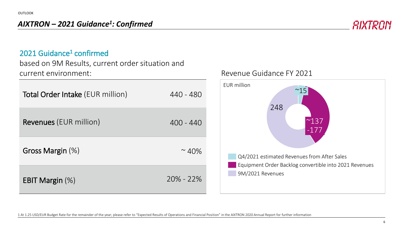#### *AIXTRON – 2021 Guidance<sup>1</sup> : Confirmed*



#### 2021 Guidance<sup>1</sup> confirmed

based on 9M Results, current order situation and current environment:

| <b>Total Order Intake (EUR million)</b> | 440 - 480     |
|-----------------------------------------|---------------|
| <b>Revenues</b> (EUR million)           | $400 - 440$   |
| Gross Margin (%)                        | $\sim$ 40%    |
| EBIT Margin $(\%)$                      | $20\% - 22\%$ |

#### Revenue Guidance FY 2021



1 At 1.25 USD/EUR Budget Rate for the remainder of the year; please refer to "Expected Results of Operations and Financial Position" in the AIXTRON 2020 Annual Report for further information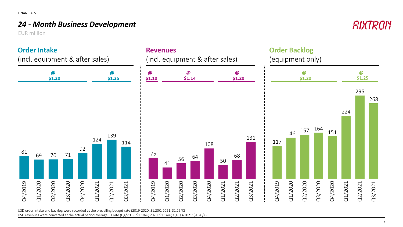#### *24 - Month Business Development*

EUR million



USD order intake and backlog were recorded at the prevailing budget rate (2019-2020: \$1.20€; 2021: \$1.25/€) USD revenues were converted at the actual period average FX rate (Q4/2019: \$1.10/€; 2020: \$1.14/€; Q1-Q3/2021: \$1.20/€)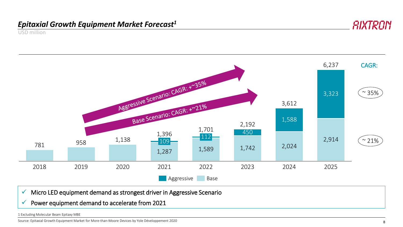#### *Epitaxial Growth Equipment Market Forecast<sup>1</sup>*

USD million



✓ Micro LED equipment demand as strongest driver in Aggressive Scenario

 $\checkmark$  Power equipment demand to accelerate from 2021

1 Excluding Molecular Beam Epitaxy MBE

Source: Epitaxial Growth Equipment Market for More-than-Moore Devices by Yole Développement 2020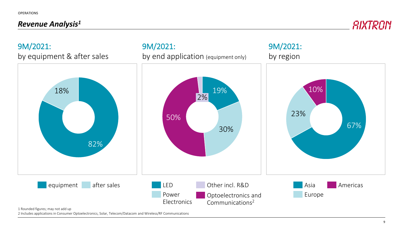OPERATIONS

#### *Revenue Analysis<sup>1</sup>*

RIXTRON



1 Rounded figures; may not add up

2 Includes applications in Consumer Optoelectronics, Solar, Telecom/Datacom and Wireless/RF Communications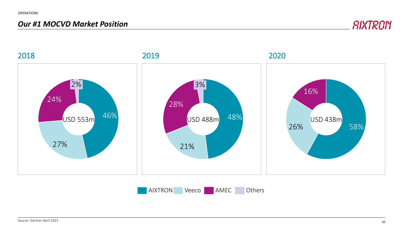#### *Our #1 MOCVD Market Position*

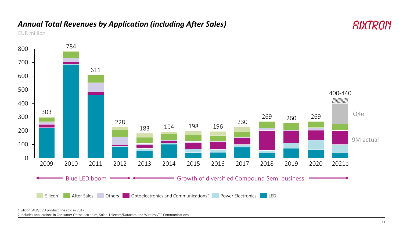#### *Annual Total Revenues by Application (including After Sales)*





<sup>1</sup> Silicon: ALD/CVD product line sold in 2017

2 Includes applications in Consumer Optoelectronics, Solar, Telecom/Datacom and Wireless/RF Communications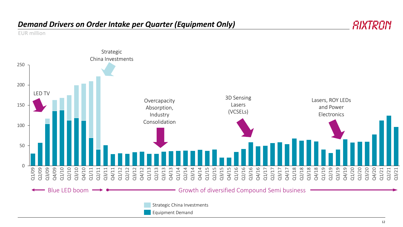#### *Demand Drivers on Order Intake per Quarter (Equipment Only)*

EUR million

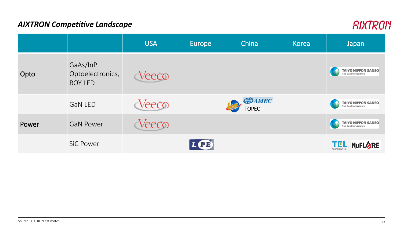#### *AIXTRON Competitive Landscape*

|       |                                                | <b>USA</b>    | Europe | China                         | Korea | <b>Japan</b>                                       |
|-------|------------------------------------------------|---------------|--------|-------------------------------|-------|----------------------------------------------------|
| Opto  | GaAs/InP<br>Optoelectronics,<br><b>ROY LED</b> | Veeco         |        |                               |       | <b>TAIYO NIPPON SANSO</b><br>The Gas Professionals |
|       | <b>GaN LED</b>                                 | Veeco         |        | <b>EDAMEC</b><br><b>TOPEC</b> |       | <b>TAIYO NIPPON SANSO</b><br>The Gas Professionals |
| Power | <b>GaN Power</b>                               | <i>l</i> eeco |        |                               |       | <b>TAIYO NIPPON SANSO</b><br>The Gas Professionals |
|       | <b>SiC Power</b>                               |               | (T)    |                               |       | <b>NUFLARE</b><br>TEL<br><b>TOKYO ELECTRON</b>     |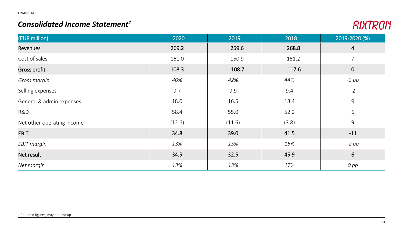#### *Consolidated Income Statement1*



| (EUR million)              | 2020   | 2019   | 2018  | 2019-2020 (%)  |
|----------------------------|--------|--------|-------|----------------|
| Revenues                   | 269.2  | 259.6  | 268.8 | $\overline{4}$ |
| Cost of sales              | 161.0  | 150.9  | 151.2 | $\overline{7}$ |
| <b>Gross profit</b>        | 108.3  | 108.7  | 117.6 | $\overline{0}$ |
| Gross margin               | 40%    | 42%    | 44%   | $-2$ pp        |
| Selling expenses           | 9.7    | 9.9    | 9.4   | $-2$           |
| General & admin expenses   | 18.0   | 16.5   | 18.4  | 9              |
| R&D                        | 58.4   | 55.0   | 52.2  | 6              |
| Net other operating income | (12.6) | (11.6) | (3.8) | 9              |
| <b>EBIT</b>                | 34.8   | 39.0   | 41.5  | $-11$          |
| EBIT margin                | 13%    | 15%    | 15%   | $-2$ pp        |
| Net result                 | 34.5   | 32.5   | 45.9  | 6              |
| Net margin                 | 13%    | 13%    | 17%   | $O$ $pp$       |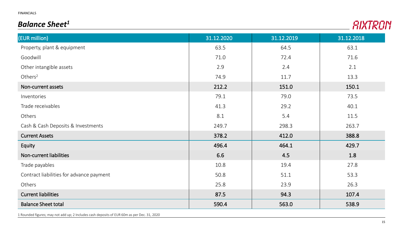#### *Balance Sheet<sup>1</sup>*

| (EUR million)                            | 31.12.2020 | 31.12.2019 | 31.12.2018 |
|------------------------------------------|------------|------------|------------|
| Property, plant & equipment              | 63.5       | 64.5       | 63.1       |
| Goodwill                                 | 71.0       | 72.4       | 71.6       |
| Other intangible assets                  | 2.9        | 2.4        | 2.1        |
| Others $2$                               | 74.9       | 11.7       | 13.3       |
| Non-current assets                       | 212.2      | 151.0      | 150.1      |
| Inventories                              | 79.1       | 79.0       | 73.5       |
| Trade receivables                        | 41.3       | 29.2       | 40.1       |
| Others                                   | 8.1        | 5.4        | 11.5       |
| Cash & Cash Deposits & Investments       | 249.7      | 298.3      | 263.7      |
| <b>Current Assets</b>                    | 378.2      | 412.0      | 388.8      |
| Equity                                   | 496.4      | 464.1      | 429.7      |
| Non-current liabilities                  | 6.6        | 4.5        | 1.8        |
| Trade payables                           | 10.8       | 19.4       | 27.8       |
| Contract liabilities for advance payment | 50.8       | 51.1       | 53.3       |
| Others                                   | 25.8       | 23.9       | 26.3       |
| <b>Current liabilities</b>               | 87.5       | 94.3       | 107.4      |
| <b>Balance Sheet total</b>               | 590.4      | 563.0      | 538.9      |

1 Rounded figures; may not add up; 2 Includes cash deposits of EUR 60m as per Dec. 31, 2020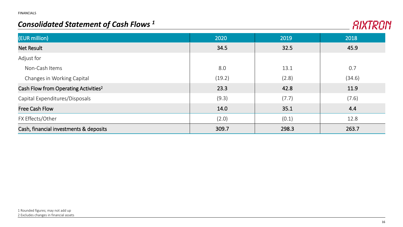#### *Consolidated Statement of Cash Flows <sup>1</sup>*



| (EUR million)                                    | 2020   | 2019  | 2018   |
|--------------------------------------------------|--------|-------|--------|
| <b>Net Result</b>                                | 34.5   | 32.5  | 45.9   |
| Adjust for                                       |        |       |        |
| Non-Cash Items                                   | 8.0    | 13.1  | 0.7    |
| Changes in Working Capital                       | (19.2) | (2.8) | (34.6) |
| Cash Flow from Operating Activities <sup>2</sup> | 23.3   | 42.8  | 11.9   |
| Capital Expenditures/Disposals                   | (9.3)  | (7.7) | (7.6)  |
| <b>Free Cash Flow</b>                            | 14.0   | 35.1  | 4.4    |
| FX Effects/Other                                 | (2.0)  | (0.1) | 12.8   |
| Cash, financial investments & deposits           | 309.7  | 298.3 | 263.7  |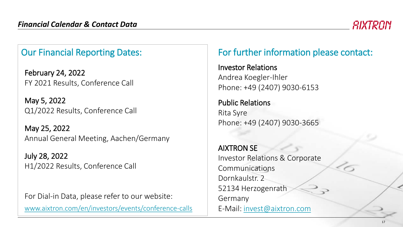## Our Financial Reporting Dates:

February 24, 2022 FY 2021 Results, Conference Call

May 5, 2022 Q1/2022 Results, Conference Call

May 25, 2022 Annual General Meeting, Aachen/Germany

July 28, 2022 H1/2022 Results, Conference Call

For Dial-in Data, please refer to our website: [www.aixtron.com/en/investors/events/conference-calls](https://www.aixtron.com/en/investors/events/conference-calls)

## For further information please contact:

Investor Relations Andrea Koegler-Ihler Phone: +49 (2407) 9030-6153

Public Relations Rita Syre Phone: +49 (2407) 9030-3665

AIXTRON SE Investor Relations & Corporate Communications Dornkaulstr. 2 52134 Herzogenrath Germany E-Mail: [invest@aixtron.com](mailto:invest@aixtron.com)